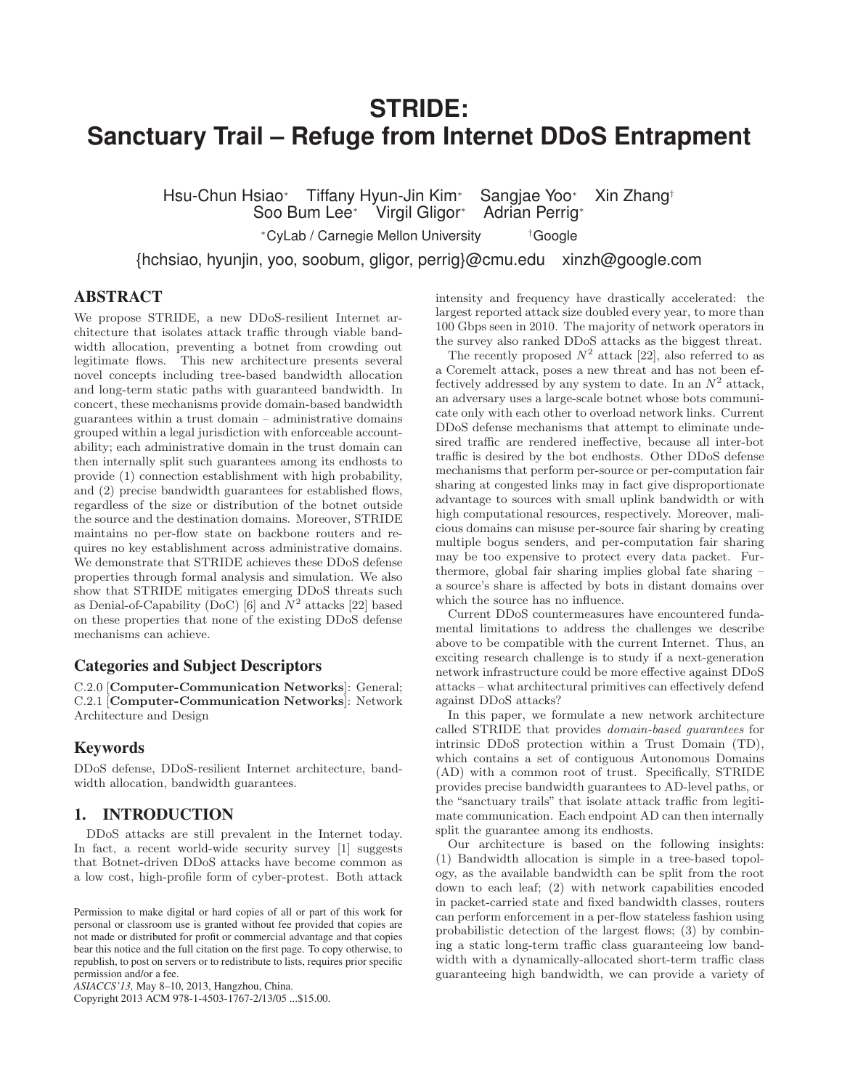# **STRIDE: Sanctuary Trail – Refuge from Internet DDoS Entrapment**

Hsu-Chun Hsiao<sup>∗</sup> Tiffany Hyun-Jin Kim<sup>∗</sup> Sangjae Yoo<sup>∗</sup> Xin Zhang† Soo Bum Lee<sup>∗</sup> Virgil Gligor<sup>∗</sup> Adrian Perrig<sup>∗</sup>

<sup>∗</sup>CyLab / Carnegie Mellon University †Google

{hchsiao, hyunjin, yoo, soobum, gligor, perrig}@cmu.edu xinzh@google.com

# **ABSTRACT**

We propose STRIDE, a new DDoS-resilient Internet architecture that isolates attack traffic through viable bandwidth allocation, preventing a botnet from crowding out legitimate flows. This new architecture presents several novel concepts including tree-based bandwidth allocation and long-term static paths with guaranteed bandwidth. In concert, these mechanisms provide domain-based bandwidth guarantees within a trust domain – administrative domains grouped within a legal jurisdiction with enforceable accountability; each administrative domain in the trust domain can then internally split such guarantees among its endhosts to provide (1) connection establishment with high probability, and (2) precise bandwidth guarantees for established flows, regardless of the size or distribution of the botnet outside the source and the destination domains. Moreover, STRIDE maintains no per-flow state on backbone routers and requires no key establishment across administrative domains. We demonstrate that STRIDE achieves these DDoS defense properties through formal analysis and simulation. We also show that STRIDE mitigates emerging DDoS threats such as Denial-of-Capability (DoC) [6] and  $N^2$  attacks [22] based on these properties that none of the existing DDoS defense mechanisms can achieve.

# **Categories and Subject Descriptors**

C.2.0 [Computer-Communication Networks]: General; C.2.1 [Computer-Communication Networks]: Network Architecture and Design

## **Keywords**

DDoS defense, DDoS-resilient Internet architecture, bandwidth allocation, bandwidth guarantees.

## **1. INTRODUCTION**

DDoS attacks are still prevalent in the Internet today. In fact, a recent world-wide security survey [1] suggests that Botnet-driven DDoS attacks have become common as a low cost, high-profile form of cyber-protest. Both attack

*ASIACCS'13,* May 8–10, 2013, Hangzhou, China.

Copyright 2013 ACM 978-1-4503-1767-2/13/05 ...\$15.00.

intensity and frequency have drastically accelerated: the largest reported attack size doubled every year, to more than 100 Gbps seen in 2010. The majority of network operators in the survey also ranked DDoS attacks as the biggest threat.

The recently proposed  $N^2$  attack [22], also referred to as a Coremelt attack, poses a new threat and has not been effectively addressed by any system to date. In an  $N^2$  attack, an adversary uses a large-scale botnet whose bots communicate only with each other to overload network links. Current DDoS defense mechanisms that attempt to eliminate undesired traffic are rendered ineffective, because all inter-bot traffic is desired by the bot endhosts. Other DDoS defense mechanisms that perform per-source or per-computation fair sharing at congested links may in fact give disproportionate advantage to sources with small uplink bandwidth or with high computational resources, respectively. Moreover, malicious domains can misuse per-source fair sharing by creating multiple bogus senders, and per-computation fair sharing may be too expensive to protect every data packet. Furthermore, global fair sharing implies global fate sharing – a source's share is affected by bots in distant domains over which the source has no influence.

Current DDoS countermeasures have encountered fundamental limitations to address the challenges we describe above to be compatible with the current Internet. Thus, an exciting research challenge is to study if a next-generation network infrastructure could be more effective against DDoS attacks – what architectural primitives can effectively defend against DDoS attacks?

In this paper, we formulate a new network architecture called STRIDE that provides domain-based guarantees for intrinsic DDoS protection within a Trust Domain (TD), which contains a set of contiguous Autonomous Domains (AD) with a common root of trust. Specifically, STRIDE provides precise bandwidth guarantees to AD-level paths, or the "sanctuary trails" that isolate attack traffic from legitimate communication. Each endpoint AD can then internally split the guarantee among its endhosts.

Our architecture is based on the following insights: (1) Bandwidth allocation is simple in a tree-based topology, as the available bandwidth can be split from the root down to each leaf; (2) with network capabilities encoded in packet-carried state and fixed bandwidth classes, routers can perform enforcement in a per-flow stateless fashion using probabilistic detection of the largest flows; (3) by combining a static long-term traffic class guaranteeing low bandwidth with a dynamically-allocated short-term traffic class guaranteeing high bandwidth, we can provide a variety of

Permission to make digital or hard copies of all or part of this work for personal or classroom use is granted without fee provided that copies are not made or distributed for profit or commercial advantage and that copies bear this notice and the full citation on the first page. To copy otherwise, to republish, to post on servers or to redistribute to lists, requires prior specific permission and/or a fee.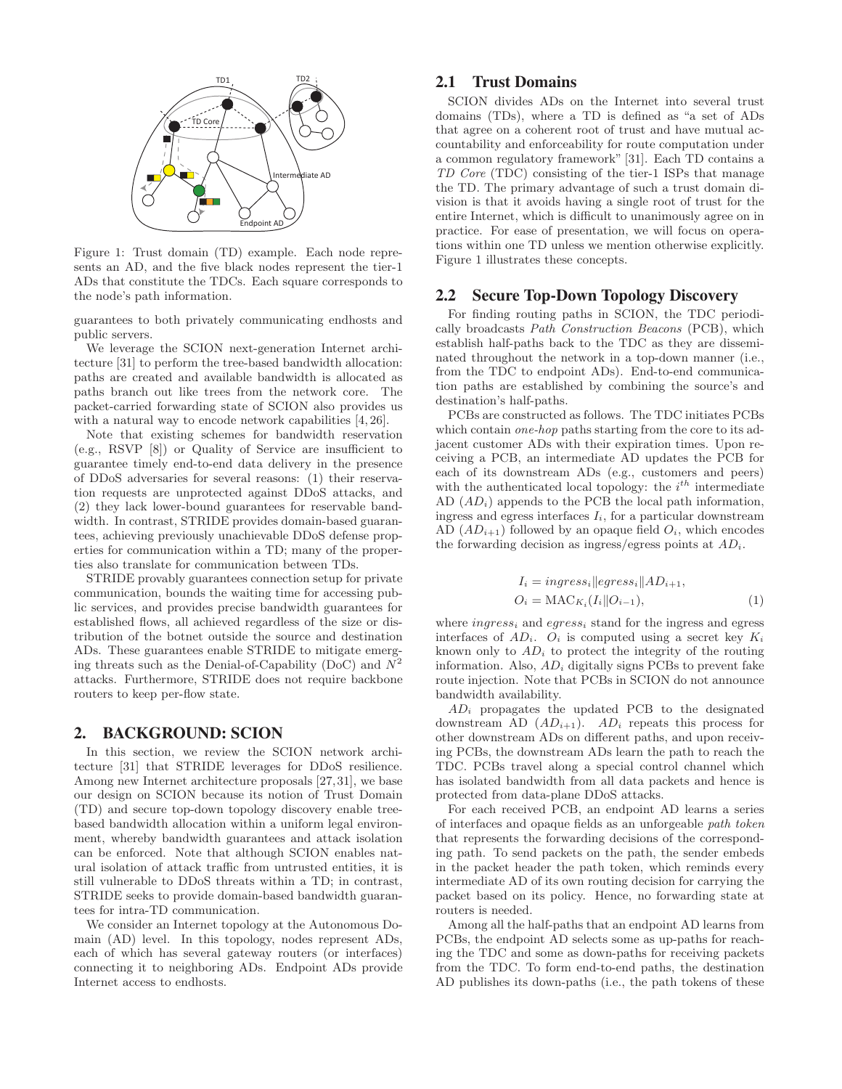

Figure 1: Trust domain (TD) example. Each node represents an AD, and the five black nodes represent the tier-1 ADs that constitute the TDCs. Each square corresponds to the node's path information.

guarantees to both privately communicating endhosts and public servers.

We leverage the SCION next-generation Internet architecture [31] to perform the tree-based bandwidth allocation: paths are created and available bandwidth is allocated as paths branch out like trees from the network core. The packet-carried forwarding state of SCION also provides us with a natural way to encode network capabilities [4, 26].

Note that existing schemes for bandwidth reservation (e.g., RSVP [8]) or Quality of Service are insufficient to guarantee timely end-to-end data delivery in the presence of DDoS adversaries for several reasons: (1) their reservation requests are unprotected against DDoS attacks, and (2) they lack lower-bound guarantees for reservable bandwidth. In contrast, STRIDE provides domain-based guarantees, achieving previously unachievable DDoS defense properties for communication within a TD; many of the properties also translate for communication between TDs.

STRIDE provably guarantees connection setup for private communication, bounds the waiting time for accessing public services, and provides precise bandwidth guarantees for established flows, all achieved regardless of the size or distribution of the botnet outside the source and destination ADs. These guarantees enable STRIDE to mitigate emerging threats such as the Denial-of-Capability (DoC) and  $N^2$ attacks. Furthermore, STRIDE does not require backbone routers to keep per-flow state.

### **2. BACKGROUND: SCION**

In this section, we review the SCION network architecture [31] that STRIDE leverages for DDoS resilience. Among new Internet architecture proposals [27,31], we base our design on SCION because its notion of Trust Domain (TD) and secure top-down topology discovery enable treebased bandwidth allocation within a uniform legal environment, whereby bandwidth guarantees and attack isolation can be enforced. Note that although SCION enables natural isolation of attack traffic from untrusted entities, it is still vulnerable to DDoS threats within a TD; in contrast, STRIDE seeks to provide domain-based bandwidth guarantees for intra-TD communication.

We consider an Internet topology at the Autonomous Domain (AD) level. In this topology, nodes represent ADs, each of which has several gateway routers (or interfaces) connecting it to neighboring ADs. Endpoint ADs provide Internet access to endhosts.

## **2.1 Trust Domains**

SCION divides ADs on the Internet into several trust domains (TDs), where a TD is defined as "a set of ADs that agree on a coherent root of trust and have mutual accountability and enforceability for route computation under a common regulatory framework" [31]. Each TD contains a TD Core (TDC) consisting of the tier-1 ISPs that manage the TD. The primary advantage of such a trust domain division is that it avoids having a single root of trust for the entire Internet, which is difficult to unanimously agree on in practice. For ease of presentation, we will focus on operations within one TD unless we mention otherwise explicitly. Figure 1 illustrates these concepts.

### **2.2 Secure Top-Down Topology Discovery**

For finding routing paths in SCION, the TDC periodically broadcasts Path Construction Beacons (PCB), which establish half-paths back to the TDC as they are disseminated throughout the network in a top-down manner (i.e., from the TDC to endpoint ADs). End-to-end communication paths are established by combining the source's and destination's half-paths.

PCBs are constructed as follows. The TDC initiates PCBs which contain *one-hop* paths starting from the core to its adjacent customer ADs with their expiration times. Upon receiving a PCB, an intermediate AD updates the PCB for each of its downstream ADs (e.g., customers and peers) with the authenticated local topology: the  $i^{th}$  intermediate AD  $(AD<sub>i</sub>)$  appends to the PCB the local path information, ingress and egress interfaces  $I_i$ , for a particular downstream AD  $(AD_{i+1})$  followed by an opaque field  $O_i$ , which encodes the forwarding decision as ingress/egress points at  $AD_i$ .

$$
I_i = ingress_i||egress_i||AD_{i+1},
$$
  
\n
$$
O_i = \text{MAC}_{K_i}(I_i||O_{i-1}),
$$
\n(1)

where  $ingress<sub>i</sub>$  and  $egress<sub>i</sub>$  stand for the ingress and egress interfaces of  $AD_i$ .  $O_i$  is computed using a secret key  $K_i$ known only to  $AD_i$  to protect the integrity of the routing information. Also,  $AD_i$  digitally signs PCBs to prevent fake route injection. Note that PCBs in SCION do not announce bandwidth availability.

 $AD_i$  propagates the updated PCB to the designated downstream AD  $(AD_{i+1})$ . AD<sub>i</sub> repeats this process for other downstream ADs on different paths, and upon receiving PCBs, the downstream ADs learn the path to reach the TDC. PCBs travel along a special control channel which has isolated bandwidth from all data packets and hence is protected from data-plane DDoS attacks.

For each received PCB, an endpoint AD learns a series of interfaces and opaque fields as an unforgeable path token that represents the forwarding decisions of the corresponding path. To send packets on the path, the sender embeds in the packet header the path token, which reminds every intermediate AD of its own routing decision for carrying the packet based on its policy. Hence, no forwarding state at routers is needed.

Among all the half-paths that an endpoint AD learns from PCBs, the endpoint AD selects some as up-paths for reaching the TDC and some as down-paths for receiving packets from the TDC. To form end-to-end paths, the destination AD publishes its down-paths (i.e., the path tokens of these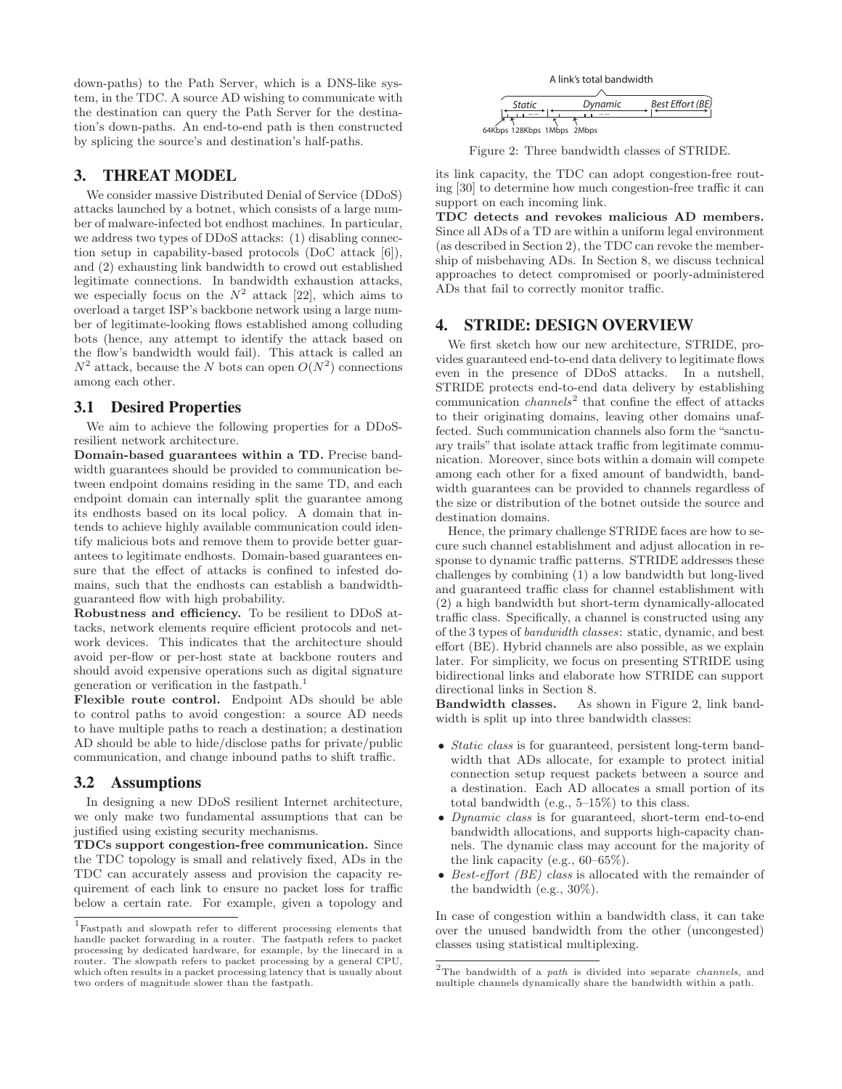down-paths) to the Path Server, which is a DNS-like system, in the TDC. A source AD wishing to communicate with the destination can query the Path Server for the destination's down-paths. An end-to-end path is then constructed by splicing the source's and destination's half-paths.

# **3. THREAT MODEL**

We consider massive Distributed Denial of Service (DDoS) attacks launched by a botnet, which consists of a large number of malware-infected bot endhost machines. In particular, we address two types of DDoS attacks: (1) disabling connection setup in capability-based protocols (DoC attack [6]), and (2) exhausting link bandwidth to crowd out established legitimate connections. In bandwidth exhaustion attacks, we especially focus on the  $N^2$  attack [22], which aims to overload a target ISP's backbone network using a large number of legitimate-looking flows established among colluding bots (hence, any attempt to identify the attack based on the flow's bandwidth would fail). This attack is called an  $N^2$  attack, because the N bots can open  $O(N^2)$  connections among each other.

## **3.1 Desired Properties**

We aim to achieve the following properties for a DDoSresilient network architecture.

Domain-based guarantees within a TD. Precise bandwidth guarantees should be provided to communication between endpoint domains residing in the same TD, and each endpoint domain can internally split the guarantee among its endhosts based on its local policy. A domain that intends to achieve highly available communication could identify malicious bots and remove them to provide better guarantees to legitimate endhosts. Domain-based guarantees ensure that the effect of attacks is confined to infested domains, such that the endhosts can establish a bandwidthguaranteed flow with high probability.

Robustness and efficiency. To be resilient to DDoS attacks, network elements require efficient protocols and network devices. This indicates that the architecture should avoid per-flow or per-host state at backbone routers and should avoid expensive operations such as digital signature generation or verification in the fastpath.<sup>1</sup>

Flexible route control. Endpoint ADs should be able to control paths to avoid congestion: a source AD needs to have multiple paths to reach a destination; a destination AD should be able to hide/disclose paths for private/public communication, and change inbound paths to shift traffic.

## **3.2 Assumptions**

In designing a new DDoS resilient Internet architecture, we only make two fundamental assumptions that can be justified using existing security mechanisms.

TDCs support congestion-free communication. Since the TDC topology is small and relatively fixed, ADs in the TDC can accurately assess and provision the capacity requirement of each link to ensure no packet loss for traffic below a certain rate. For example, given a topology and

| A link's total bandwidth |         |                         |  |  |
|--------------------------|---------|-------------------------|--|--|
|                          |         |                         |  |  |
| Static                   | Dynamic | <b>Best Effort (BE)</b> |  |  |
|                          |         |                         |  |  |

64Kbps 128Kbps 1Mbps 2Mbps

Figure 2: Three bandwidth classes of STRIDE.

its link capacity, the TDC can adopt congestion-free routing [30] to determine how much congestion-free traffic it can support on each incoming link.

TDC detects and revokes malicious AD members. Since all ADs of a TD are within a uniform legal environment (as described in Section 2), the TDC can revoke the membership of misbehaving ADs. In Section 8, we discuss technical approaches to detect compromised or poorly-administered ADs that fail to correctly monitor traffic.

## **4. STRIDE: DESIGN OVERVIEW**

We first sketch how our new architecture, STRIDE, provides guaranteed end-to-end data delivery to legitimate flows even in the presence of DDoS attacks. In a nutshell, STRIDE protects end-to-end data delivery by establishing communication  $channels<sup>2</sup>$  that confine the effect of attacks to their originating domains, leaving other domains unaffected. Such communication channels also form the "sanctuary trails" that isolate attack traffic from legitimate communication. Moreover, since bots within a domain will compete among each other for a fixed amount of bandwidth, bandwidth guarantees can be provided to channels regardless of the size or distribution of the botnet outside the source and destination domains.

Hence, the primary challenge STRIDE faces are how to secure such channel establishment and adjust allocation in response to dynamic traffic patterns. STRIDE addresses these challenges by combining (1) a low bandwidth but long-lived and guaranteed traffic class for channel establishment with (2) a high bandwidth but short-term dynamically-allocated traffic class. Specifically, a channel is constructed using any of the 3 types of bandwidth classes: static, dynamic, and best effort (BE). Hybrid channels are also possible, as we explain later. For simplicity, we focus on presenting STRIDE using bidirectional links and elaborate how STRIDE can support directional links in Section 8.

Bandwidth classes. As shown in Figure 2, link bandwidth is split up into three bandwidth classes:

- Static class is for guaranteed, persistent long-term bandwidth that ADs allocate, for example to protect initial connection setup request packets between a source and a destination. Each AD allocates a small portion of its total bandwidth (e.g., 5–15%) to this class.
- Dynamic class is for guaranteed, short-term end-to-end bandwidth allocations, and supports high-capacity channels. The dynamic class may account for the majority of the link capacity (e.g., 60–65%).
- Best-effort *(BE)* class is allocated with the remainder of the bandwidth (e.g., 30%).

In case of congestion within a bandwidth class, it can take over the unused bandwidth from the other (uncongested) classes using statistical multiplexing.

<sup>1</sup>Fastpath and slowpath refer to different processing elements that handle packet forwarding in a router. The fastpath refers to packet processing by dedicated hardware, for example, by the linecard in a router. The slowpath refers to packet processing by a general CPU, which often results in a packet processing latency that is usually about two orders of magnitude slower than the fastpath.

 $2$ The bandwidth of a *path* is divided into separate *channels*, and multiple channels dynamically share the bandwidth within a path.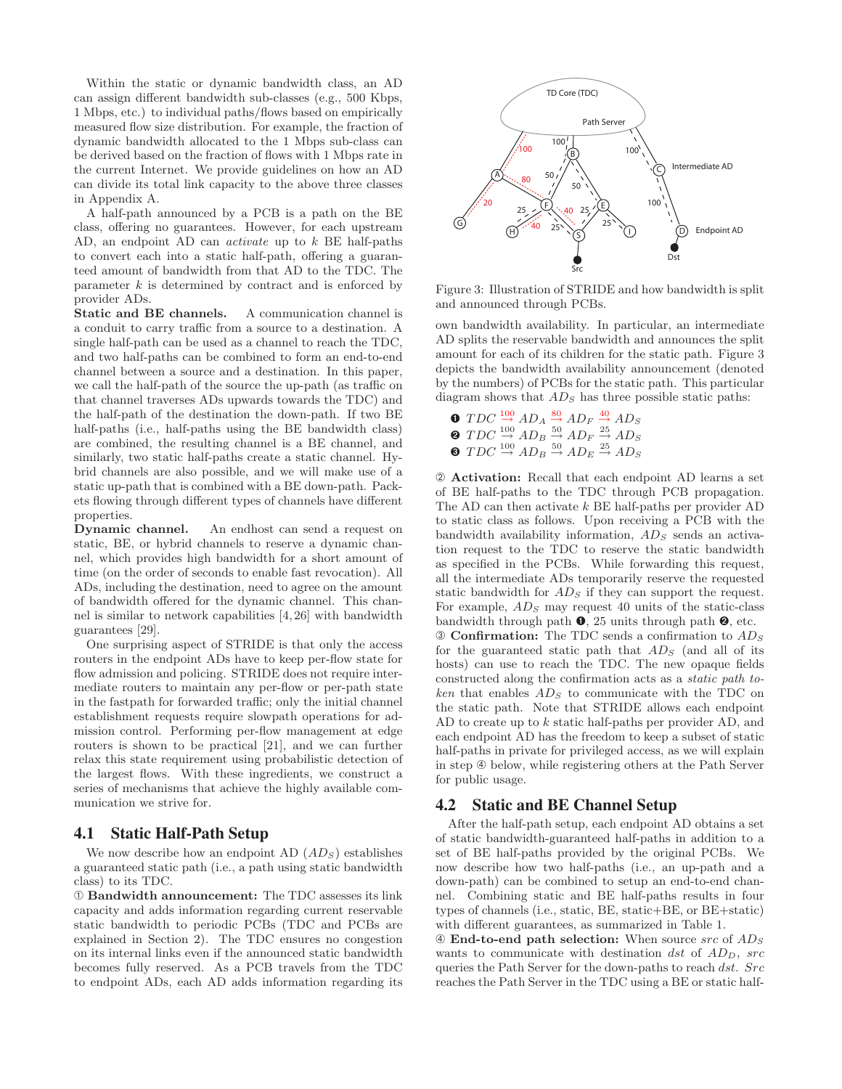Within the static or dynamic bandwidth class, an AD can assign different bandwidth sub-classes (e.g., 500 Kbps, 1 Mbps, etc.) to individual paths/flows based on empirically measured flow size distribution. For example, the fraction of dynamic bandwidth allocated to the 1 Mbps sub-class can be derived based on the fraction of flows with 1 Mbps rate in the current Internet. We provide guidelines on how an AD can divide its total link capacity to the above three classes in Appendix A.

A half-path announced by a PCB is a path on the BE class, offering no guarantees. However, for each upstream AD, an endpoint AD can activate up to k BE half-paths to convert each into a static half-path, offering a guaranteed amount of bandwidth from that AD to the TDC. The parameter  $k$  is determined by contract and is enforced by provider ADs.

Static and BE channels. A communication channel is a conduit to carry traffic from a source to a destination. A single half-path can be used as a channel to reach the TDC, and two half-paths can be combined to form an end-to-end channel between a source and a destination. In this paper, we call the half-path of the source the up-path (as traffic on that channel traverses ADs upwards towards the TDC) and the half-path of the destination the down-path. If two BE half-paths (i.e., half-paths using the BE bandwidth class) are combined, the resulting channel is a BE channel, and similarly, two static half-paths create a static channel. Hybrid channels are also possible, and we will make use of a static up-path that is combined with a BE down-path. Packets flowing through different types of channels have different properties.

Dynamic channel. An endhost can send a request on static, BE, or hybrid channels to reserve a dynamic channel, which provides high bandwidth for a short amount of time (on the order of seconds to enable fast revocation). All ADs, including the destination, need to agree on the amount of bandwidth offered for the dynamic channel. This channel is similar to network capabilities [4, 26] with bandwidth guarantees [29].

One surprising aspect of STRIDE is that only the access routers in the endpoint ADs have to keep per-flow state for flow admission and policing. STRIDE does not require intermediate routers to maintain any per-flow or per-path state in the fastpath for forwarded traffic; only the initial channel establishment requests require slowpath operations for admission control. Performing per-flow management at edge routers is shown to be practical [21], and we can further relax this state requirement using probabilistic detection of the largest flows. With these ingredients, we construct a series of mechanisms that achieve the highly available communication we strive for.

#### **4.1 Static Half-Path Setup**

We now describe how an endpoint AD  $(AD<sub>S</sub>)$  establishes a guaranteed static path (i.e., a path using static bandwidth class) to its TDC.

➀ Bandwidth announcement: The TDC assesses its link capacity and adds information regarding current reservable static bandwidth to periodic PCBs (TDC and PCBs are explained in Section 2). The TDC ensures no congestion on its internal links even if the announced static bandwidth becomes fully reserved. As a PCB travels from the TDC to endpoint ADs, each AD adds information regarding its



Figure 3: Illustration of STRIDE and how bandwidth is split and announced through PCBs.

own bandwidth availability. In particular, an intermediate AD splits the reservable bandwidth and announces the split amount for each of its children for the static path. Figure 3 depicts the bandwidth availability announcement (denoted by the numbers) of PCBs for the static path. This particular diagram shows that  $AD<sub>S</sub>$  has three possible static paths:

 $\bullet$  TDC  $\stackrel{100}{\rightarrow}$  AD<sub>A</sub>  $\stackrel{80}{\rightarrow}$  AD<sub>F</sub>  $\stackrel{40}{\rightarrow}$  AD<sub>S</sub>  $\bullet$  TDC  $\stackrel{100}{\rightarrow}$  AD<sub>B</sub>  $\stackrel{50}{\rightarrow}$  AD<sub>F</sub>  $\stackrel{25}{\rightarrow}$  AD<sub>S</sub>  $\bullet$  TDC  $\stackrel{100}{\rightarrow}$  AD<sub>B</sub>  $\stackrel{50}{\rightarrow}$  AD<sub>E</sub>  $\stackrel{25}{\rightarrow}$  AD<sub>S</sub>

➁ Activation: Recall that each endpoint AD learns a set of BE half-paths to the TDC through PCB propagation. The AD can then activate k BE half-paths per provider AD to static class as follows. Upon receiving a PCB with the bandwidth availability information,  $AD_S$  sends an activation request to the TDC to reserve the static bandwidth as specified in the PCBs. While forwarding this request, all the intermediate ADs temporarily reserve the requested static bandwidth for  $AD<sub>S</sub>$  if they can support the request. For example,  $AD_S$  may request 40 units of the static-class bandwidth through path ➊, 25 units through path ➋, etc.  $\circledR$  Confirmation: The TDC sends a confirmation to  $AD_S$ for the guaranteed static path that  $AD_S$  (and all of its hosts) can use to reach the TDC. The new opaque fields constructed along the confirmation acts as a static path token that enables  $AD<sub>S</sub>$  to communicate with the TDC on the static path. Note that STRIDE allows each endpoint AD to create up to k static half-paths per provider AD, and each endpoint AD has the freedom to keep a subset of static half-paths in private for privileged access, as we will explain in step ➃ below, while registering others at the Path Server for public usage.

## **4.2 Static and BE Channel Setup**

After the half-path setup, each endpoint AD obtains a set of static bandwidth-guaranteed half-paths in addition to a set of BE half-paths provided by the original PCBs. We now describe how two half-paths (i.e., an up-path and a down-path) can be combined to setup an end-to-end channel. Combining static and BE half-paths results in four types of channels (i.e., static, BE, static+BE, or BE+static) with different guarantees, as summarized in Table 1.

 $\circledR$  End-to-end path selection: When source src of  $AD_S$ wants to communicate with destination dst of  $AD<sub>D</sub>$ , src queries the Path Server for the down-paths to reach dst. Src reaches the Path Server in the TDC using a BE or static half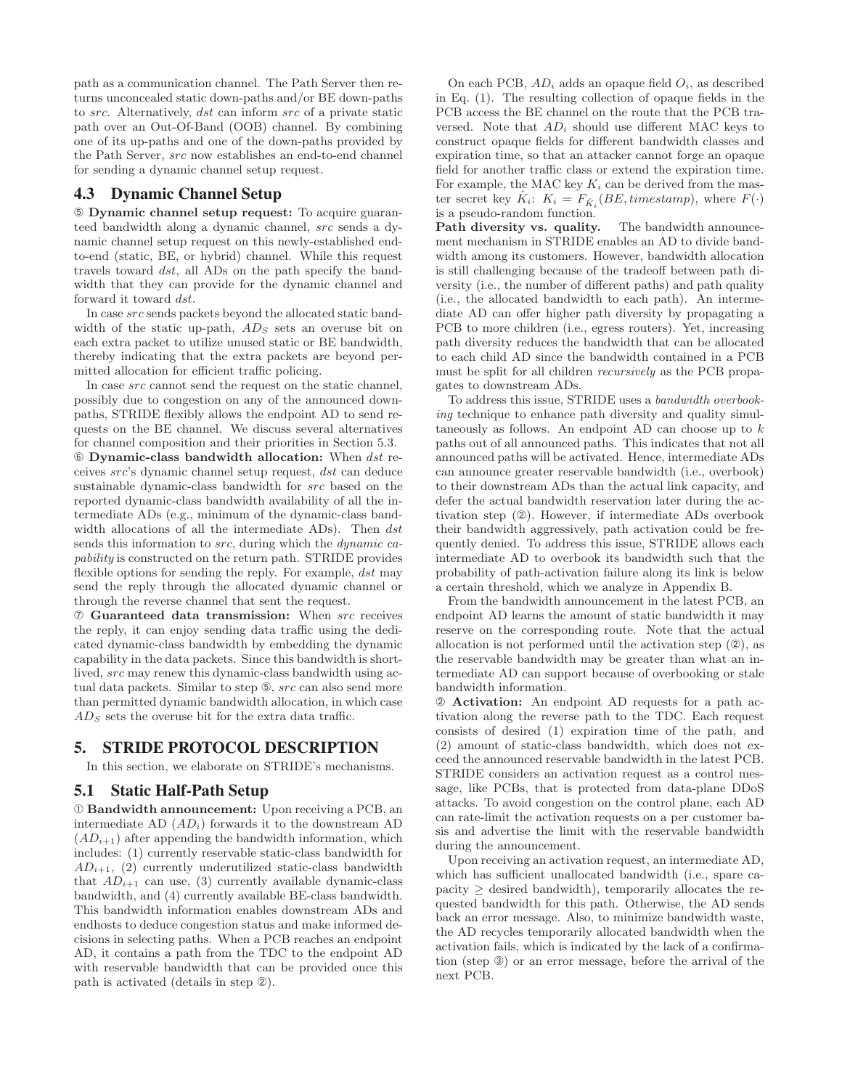path as a communication channel. The Path Server then returns unconcealed static down-paths and/or BE down-paths to src. Alternatively, dst can inform src of a private static path over an Out-Of-Band (OOB) channel. By combining one of its up-paths and one of the down-paths provided by the Path Server, src now establishes an end-to-end channel for sending a dynamic channel setup request.

## **4.3 Dynamic Channel Setup**

➄ Dynamic channel setup request: To acquire guaranteed bandwidth along a dynamic channel, src sends a dynamic channel setup request on this newly-established endto-end (static, BE, or hybrid) channel. While this request travels toward dst, all ADs on the path specify the bandwidth that they can provide for the dynamic channel and forward it toward dst.

In case src sends packets beyond the allocated static bandwidth of the static up-path,  $AD_S$  sets an overuse bit on each extra packet to utilize unused static or BE bandwidth, thereby indicating that the extra packets are beyond permitted allocation for efficient traffic policing.

In case src cannot send the request on the static channel, possibly due to congestion on any of the announced downpaths, STRIDE flexibly allows the endpoint AD to send requests on the BE channel. We discuss several alternatives for channel composition and their priorities in Section 5.3. ➅ Dynamic-class bandwidth allocation: When dst receives src's dynamic channel setup request, dst can deduce sustainable dynamic-class bandwidth for src based on the reported dynamic-class bandwidth availability of all the intermediate ADs (e.g., minimum of the dynamic-class bandwidth allocations of all the intermediate ADs). Then  $dst$ sends this information to  $src$ , during which the *dynamic ca*pability is constructed on the return path. STRIDE provides flexible options for sending the reply. For example,  $dst$  may send the reply through the allocated dynamic channel or through the reverse channel that sent the request.

➆ Guaranteed data transmission: When src receives the reply, it can enjoy sending data traffic using the dedicated dynamic-class bandwidth by embedding the dynamic capability in the data packets. Since this bandwidth is shortlived, src may renew this dynamic-class bandwidth using actual data packets. Similar to step  $\circledcirc$ , src can also send more than permitted dynamic bandwidth allocation, in which case  $AD<sub>S</sub>$  sets the overuse bit for the extra data traffic.

# **5. STRIDE PROTOCOL DESCRIPTION**

In this section, we elaborate on STRIDE's mechanisms.

## **5.1 Static Half-Path Setup**

➀ Bandwidth announcement: Upon receiving a PCB, an intermediate AD  $(AD_i)$  forwards it to the downstream AD  $(AD_{i+1})$  after appending the bandwidth information, which includes: (1) currently reservable static-class bandwidth for  $AD_{i+1}$ , (2) currently underutilized static-class bandwidth that  $AD_{i+1}$  can use, (3) currently available dynamic-class bandwidth, and (4) currently available BE-class bandwidth. This bandwidth information enables downstream ADs and endhosts to deduce congestion status and make informed decisions in selecting paths. When a PCB reaches an endpoint AD, it contains a path from the TDC to the endpoint AD with reservable bandwidth that can be provided once this path is activated (details in step ➁).

On each PCB,  $AD_i$  adds an opaque field  $O_i$ , as described in Eq. (1). The resulting collection of opaque fields in the PCB access the BE channel on the route that the PCB traversed. Note that  $AD_i$  should use different MAC keys to construct opaque fields for different bandwidth classes and expiration time, so that an attacker cannot forge an opaque field for another traffic class or extend the expiration time. For example, the MAC key  $K_i$  can be derived from the master secret key  $\hat{K}_i$ :  $K_i = F_{\hat{K}_i}(BE, timestamp)$ , where  $F(\cdot)$ is a pseudo-random function.

Path diversity vs. quality. The bandwidth announcement mechanism in STRIDE enables an AD to divide bandwidth among its customers. However, bandwidth allocation is still challenging because of the tradeoff between path diversity (i.e., the number of different paths) and path quality (i.e., the allocated bandwidth to each path). An intermediate AD can offer higher path diversity by propagating a PCB to more children (i.e., egress routers). Yet, increasing path diversity reduces the bandwidth that can be allocated to each child AD since the bandwidth contained in a PCB must be split for all children recursively as the PCB propagates to downstream ADs.

To address this issue, STRIDE uses a bandwidth overbooking technique to enhance path diversity and quality simultaneously as follows. An endpoint AD can choose up to  $k$ paths out of all announced paths. This indicates that not all announced paths will be activated. Hence, intermediate ADs can announce greater reservable bandwidth (i.e., overbook) to their downstream ADs than the actual link capacity, and defer the actual bandwidth reservation later during the activation step (➁). However, if intermediate ADs overbook their bandwidth aggressively, path activation could be frequently denied. To address this issue, STRIDE allows each intermediate AD to overbook its bandwidth such that the probability of path-activation failure along its link is below a certain threshold, which we analyze in Appendix B.

From the bandwidth announcement in the latest PCB, an endpoint AD learns the amount of static bandwidth it may reserve on the corresponding route. Note that the actual allocation is not performed until the activation step  $(②)$ , as the reservable bandwidth may be greater than what an intermediate AD can support because of overbooking or stale bandwidth information.

➁ Activation: An endpoint AD requests for a path activation along the reverse path to the TDC. Each request consists of desired (1) expiration time of the path, and (2) amount of static-class bandwidth, which does not exceed the announced reservable bandwidth in the latest PCB. STRIDE considers an activation request as a control message, like PCBs, that is protected from data-plane DDoS attacks. To avoid congestion on the control plane, each AD can rate-limit the activation requests on a per customer basis and advertise the limit with the reservable bandwidth during the announcement.

Upon receiving an activation request, an intermediate AD, which has sufficient unallocated bandwidth (i.e., spare ca- $\chi$  pacity  $>$  desired bandwidth), temporarily allocates the requested bandwidth for this path. Otherwise, the AD sends back an error message. Also, to minimize bandwidth waste, the AD recycles temporarily allocated bandwidth when the activation fails, which is indicated by the lack of a confirmation (step ➂) or an error message, before the arrival of the next PCB.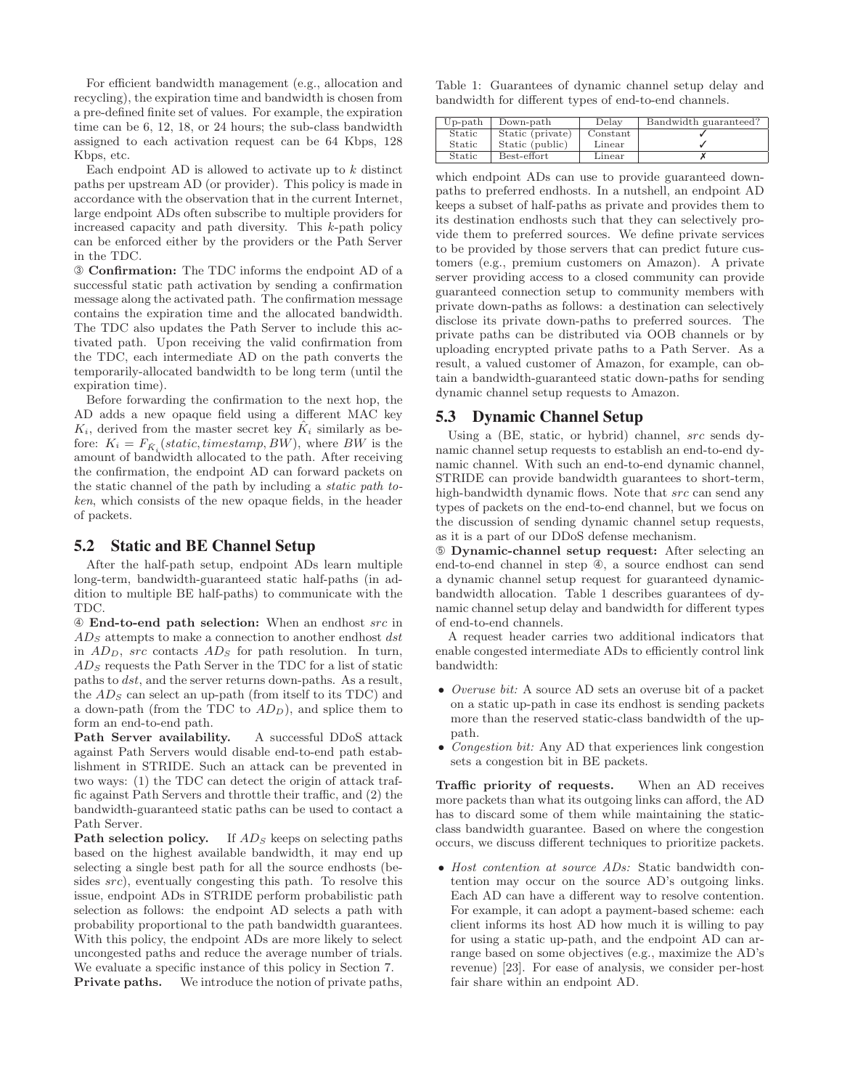For efficient bandwidth management (e.g., allocation and recycling), the expiration time and bandwidth is chosen from a pre-defined finite set of values. For example, the expiration time can be 6, 12, 18, or 24 hours; the sub-class bandwidth assigned to each activation request can be 64 Kbps, 128 Kbps, etc.

Each endpoint  $AD$  is allowed to activate up to  $k$  distinct paths per upstream AD (or provider). This policy is made in accordance with the observation that in the current Internet, large endpoint ADs often subscribe to multiple providers for increased capacity and path diversity. This k-path policy can be enforced either by the providers or the Path Server in the TDC.

➂ Confirmation: The TDC informs the endpoint AD of a successful static path activation by sending a confirmation message along the activated path. The confirmation message contains the expiration time and the allocated bandwidth. The TDC also updates the Path Server to include this activated path. Upon receiving the valid confirmation from the TDC, each intermediate AD on the path converts the temporarily-allocated bandwidth to be long term (until the expiration time).

Before forwarding the confirmation to the next hop, the AD adds a new opaque field using a different MAC key  $K_i$ , derived from the master secret key  $\hat{K}_i$  similarly as before:  $K_i = F_{\hat{K}_i} (static, timestamp, BW)$ , where BW is the amount of bandwidth allocated to the path. After receiving the confirmation, the endpoint AD can forward packets on the static channel of the path by including a static path token, which consists of the new opaque fields, in the header of packets.

#### **5.2 Static and BE Channel Setup**

After the half-path setup, endpoint ADs learn multiple long-term, bandwidth-guaranteed static half-paths (in addition to multiple BE half-paths) to communicate with the TDC.

➃ End-to-end path selection: When an endhost src in  $AD<sub>S</sub>$  attempts to make a connection to another endhost dst in  $AD<sub>D</sub>$ , src contacts  $AD<sub>S</sub>$  for path resolution. In turn,  $AD<sub>S</sub>$  requests the Path Server in the TDC for a list of static paths to dst, and the server returns down-paths. As a result, the  $AD_S$  can select an up-path (from itself to its TDC) and a down-path (from the TDC to  $AD<sub>D</sub>$ ), and splice them to form an end-to-end path.

Path Server availability. A successful DDoS attack against Path Servers would disable end-to-end path establishment in STRIDE. Such an attack can be prevented in two ways: (1) the TDC can detect the origin of attack traffic against Path Servers and throttle their traffic, and (2) the bandwidth-guaranteed static paths can be used to contact a Path Server.

Path selection policy. If  $AD_S$  keeps on selecting paths based on the highest available bandwidth, it may end up selecting a single best path for all the source endhosts (besides src), eventually congesting this path. To resolve this issue, endpoint ADs in STRIDE perform probabilistic path selection as follows: the endpoint AD selects a path with probability proportional to the path bandwidth guarantees. With this policy, the endpoint ADs are more likely to select uncongested paths and reduce the average number of trials. We evaluate a specific instance of this policy in Section 7.

Private paths. We introduce the notion of private paths,

Table 1: Guarantees of dynamic channel setup delay and bandwidth for different types of end-to-end channels.

| $Up-path$ | Down-path        | Delay    | Bandwidth guaranteed? |
|-----------|------------------|----------|-----------------------|
| Static    | Static (private) | Constant |                       |
| Static    | Static (public)  | Linear   |                       |
| Static    | Best-effort      | Linear   |                       |

which endpoint ADs can use to provide guaranteed downpaths to preferred endhosts. In a nutshell, an endpoint AD keeps a subset of half-paths as private and provides them to its destination endhosts such that they can selectively provide them to preferred sources. We define private services to be provided by those servers that can predict future customers (e.g., premium customers on Amazon). A private server providing access to a closed community can provide guaranteed connection setup to community members with private down-paths as follows: a destination can selectively disclose its private down-paths to preferred sources. The private paths can be distributed via OOB channels or by uploading encrypted private paths to a Path Server. As a result, a valued customer of Amazon, for example, can obtain a bandwidth-guaranteed static down-paths for sending dynamic channel setup requests to Amazon.

#### **5.3 Dynamic Channel Setup**

Using a (BE, static, or hybrid) channel, src sends dynamic channel setup requests to establish an end-to-end dynamic channel. With such an end-to-end dynamic channel, STRIDE can provide bandwidth guarantees to short-term, high-bandwidth dynamic flows. Note that  $src$  can send any types of packets on the end-to-end channel, but we focus on the discussion of sending dynamic channel setup requests, as it is a part of our DDoS defense mechanism.

➄ Dynamic-channel setup request: After selecting an end-to-end channel in step  $\Phi$ , a source endhost can send a dynamic channel setup request for guaranteed dynamicbandwidth allocation. Table 1 describes guarantees of dynamic channel setup delay and bandwidth for different types of end-to-end channels.

A request header carries two additional indicators that enable congested intermediate ADs to efficiently control link bandwidth:

- Overuse bit: A source AD sets an overuse bit of a packet on a static up-path in case its endhost is sending packets more than the reserved static-class bandwidth of the uppath.
- Congestion bit: Any AD that experiences link congestion sets a congestion bit in BE packets.

Traffic priority of requests. When an AD receives more packets than what its outgoing links can afford, the AD has to discard some of them while maintaining the staticclass bandwidth guarantee. Based on where the congestion occurs, we discuss different techniques to prioritize packets.

• Host contention at source ADs: Static bandwidth contention may occur on the source AD's outgoing links. Each AD can have a different way to resolve contention. For example, it can adopt a payment-based scheme: each client informs its host AD how much it is willing to pay for using a static up-path, and the endpoint AD can arrange based on some objectives (e.g., maximize the AD's revenue) [23]. For ease of analysis, we consider per-host fair share within an endpoint AD.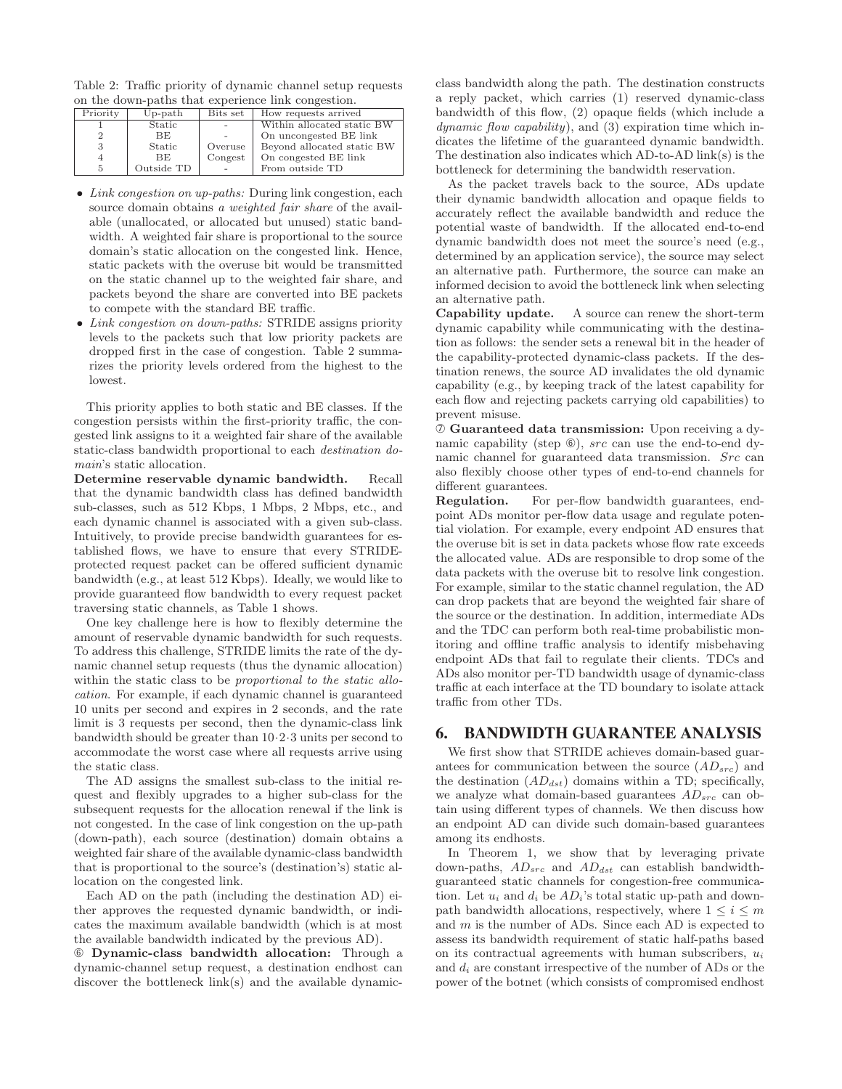Table 2: Traffic priority of dynamic channel setup requests on the down-paths that experience link congestion.

| Priority       | $Up-path$  | Bits set | How requests arrived       |
|----------------|------------|----------|----------------------------|
|                | Static     |          | Within allocated static BW |
| $\overline{2}$ | BE.        |          | On uncongested BE link     |
| 3              | Static     | Overuse  | Beyond allocated static BW |
| $\overline{4}$ | BE.        | Congest  | On congested BE link       |
| 5              | Outside TD |          | From outside TD            |

- Link congestion on up-paths: During link congestion, each source domain obtains a weighted fair share of the available (unallocated, or allocated but unused) static bandwidth. A weighted fair share is proportional to the source domain's static allocation on the congested link. Hence, static packets with the overuse bit would be transmitted on the static channel up to the weighted fair share, and packets beyond the share are converted into BE packets to compete with the standard BE traffic.
- Link congestion on down-paths: STRIDE assigns priority levels to the packets such that low priority packets are dropped first in the case of congestion. Table 2 summarizes the priority levels ordered from the highest to the lowest.

This priority applies to both static and BE classes. If the congestion persists within the first-priority traffic, the congested link assigns to it a weighted fair share of the available static-class bandwidth proportional to each destination domain's static allocation.

Determine reservable dynamic bandwidth. Recall that the dynamic bandwidth class has defined bandwidth sub-classes, such as 512 Kbps, 1 Mbps, 2 Mbps, etc., and each dynamic channel is associated with a given sub-class. Intuitively, to provide precise bandwidth guarantees for established flows, we have to ensure that every STRIDEprotected request packet can be offered sufficient dynamic bandwidth (e.g., at least 512 Kbps). Ideally, we would like to provide guaranteed flow bandwidth to every request packet traversing static channels, as Table 1 shows.

One key challenge here is how to flexibly determine the amount of reservable dynamic bandwidth for such requests. To address this challenge, STRIDE limits the rate of the dynamic channel setup requests (thus the dynamic allocation) within the static class to be proportional to the static allocation. For example, if each dynamic channel is guaranteed 10 units per second and expires in 2 seconds, and the rate limit is 3 requests per second, then the dynamic-class link bandwidth should be greater than 10·2·3 units per second to accommodate the worst case where all requests arrive using the static class.

The AD assigns the smallest sub-class to the initial request and flexibly upgrades to a higher sub-class for the subsequent requests for the allocation renewal if the link is not congested. In the case of link congestion on the up-path (down-path), each source (destination) domain obtains a weighted fair share of the available dynamic-class bandwidth that is proportional to the source's (destination's) static allocation on the congested link.

Each AD on the path (including the destination AD) either approves the requested dynamic bandwidth, or indicates the maximum available bandwidth (which is at most the available bandwidth indicated by the previous AD).

➅ Dynamic-class bandwidth allocation: Through a dynamic-channel setup request, a destination endhost can discover the bottleneck link(s) and the available dynamicclass bandwidth along the path. The destination constructs a reply packet, which carries (1) reserved dynamic-class bandwidth of this flow, (2) opaque fields (which include a  $dynamic flow capability)$ , and  $(3)$  expiration time which indicates the lifetime of the guaranteed dynamic bandwidth. The destination also indicates which AD-to-AD link(s) is the bottleneck for determining the bandwidth reservation.

As the packet travels back to the source, ADs update their dynamic bandwidth allocation and opaque fields to accurately reflect the available bandwidth and reduce the potential waste of bandwidth. If the allocated end-to-end dynamic bandwidth does not meet the source's need (e.g., determined by an application service), the source may select an alternative path. Furthermore, the source can make an informed decision to avoid the bottleneck link when selecting an alternative path.

Capability update. A source can renew the short-term dynamic capability while communicating with the destination as follows: the sender sets a renewal bit in the header of the capability-protected dynamic-class packets. If the destination renews, the source AD invalidates the old dynamic capability (e.g., by keeping track of the latest capability for each flow and rejecting packets carrying old capabilities) to prevent misuse.

➆ Guaranteed data transmission: Upon receiving a dynamic capability (step  $\circledcirc$ ), src can use the end-to-end dynamic channel for guaranteed data transmission. Src can also flexibly choose other types of end-to-end channels for different guarantees.

Regulation. For per-flow bandwidth guarantees, endpoint ADs monitor per-flow data usage and regulate potential violation. For example, every endpoint AD ensures that the overuse bit is set in data packets whose flow rate exceeds the allocated value. ADs are responsible to drop some of the data packets with the overuse bit to resolve link congestion. For example, similar to the static channel regulation, the AD can drop packets that are beyond the weighted fair share of the source or the destination. In addition, intermediate ADs and the TDC can perform both real-time probabilistic monitoring and offline traffic analysis to identify misbehaving endpoint ADs that fail to regulate their clients. TDCs and ADs also monitor per-TD bandwidth usage of dynamic-class traffic at each interface at the TD boundary to isolate attack traffic from other TDs.

## **6. BANDWIDTH GUARANTEE ANALYSIS**

We first show that STRIDE achieves domain-based guarantees for communication between the source  $(AD<sub>src</sub>)$  and the destination  $(AD_{dst})$  domains within a TD; specifically, we analyze what domain-based guarantees  $AD_{src}$  can obtain using different types of channels. We then discuss how an endpoint AD can divide such domain-based guarantees among its endhosts.

In Theorem 1, we show that by leveraging private down-paths,  $AD_{src}$  and  $AD_{dst}$  can establish bandwidthguaranteed static channels for congestion-free communication. Let  $u_i$  and  $d_i$  be  $AD_i$ 's total static up-path and downpath bandwidth allocations, respectively, where  $1 \leq i \leq m$ and m is the number of ADs. Since each AD is expected to assess its bandwidth requirement of static half-paths based on its contractual agreements with human subscribers,  $u_i$ and  $d_i$  are constant irrespective of the number of ADs or the power of the botnet (which consists of compromised endhost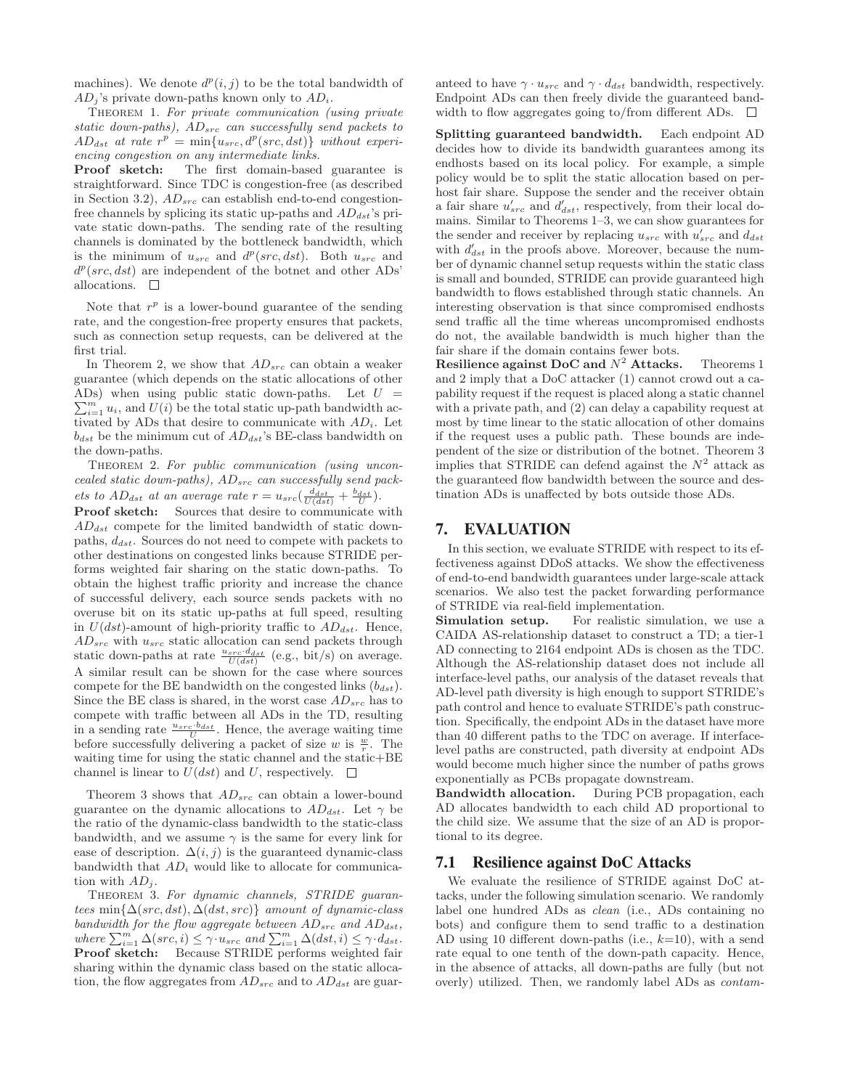machines). We denote  $d^p(i, j)$  to be the total bandwidth of  $AD_i$ 's private down-paths known only to  $AD_i$ .

THEOREM 1. For private communication (using private static down-paths),  $AD_{src}$  can successfully send packets to  $AD_{dst}$  at rate  $r^p = \min\{u_{src}, d^p(src, dst)\}\$  without experiencing congestion on any intermediate links.

Proof sketch: The first domain-based guarantee is straightforward. Since TDC is congestion-free (as described in Section 3.2),  $AD_{src}$  can establish end-to-end congestionfree channels by splicing its static up-paths and  $AD_{dst}$ 's private static down-paths. The sending rate of the resulting channels is dominated by the bottleneck bandwidth, which is the minimum of  $u_{src}$  and  $d^p(src, dst)$ . Both  $u_{src}$  and  $d^p(src,dst)$  are independent of the botnet and other ADs' allocations.  $\square$ 

Note that  $r^p$  is a lower-bound guarantee of the sending rate, and the congestion-free property ensures that packets, such as connection setup requests, can be delivered at the first trial.

In Theorem 2, we show that  $AD_{src}$  can obtain a weaker guarantee (which depends on the static allocations of other ADs) when using public static down-paths. Let  $U =$  $\sum_{i=1}^{m} u_i$ , and  $U(i)$  be the total static up-path bandwidth activated by ADs that desire to communicate with  $AD_i$ . Let  $b_{dst}$  be the minimum cut of  $AD_{dst}$ 's BE-class bandwidth on the down-paths.

THEOREM 2. For public communication (using unconcealed static down-paths),  $AD_{src}$  can successfully send packets to  $AD_{dst}$  at an average rate  $r = u_{src}(\frac{d_{dst}}{U(dst)} + \frac{b_{dst}}{U}).$ Proof sketch: Sources that desire to communicate with  $AD_{dst}$  compete for the limited bandwidth of static downpaths,  $d_{dst}$ . Sources do not need to compete with packets to other destinations on congested links because STRIDE performs weighted fair sharing on the static down-paths. To obtain the highest traffic priority and increase the chance of successful delivery, each source sends packets with no overuse bit on its static up-paths at full speed, resulting in  $U(dst)$ -amount of high-priority traffic to  $AD_{dst}$ . Hence,  $AD_{src}$  with  $u_{src}$  static allocation can send packets through static down-paths at rate  $\frac{u_{src} \cdot d_{dst}}{U(dst)}$  (e.g., bit/s) on average. A similar result can be shown for the case where sources compete for the BE bandwidth on the congested links  $(b_{dst})$ . Since the BE class is shared, in the worst case  $AD_{src}$  has to compete with traffic between all ADs in the TD, resulting in a sending rate  $\frac{u_{src} \cdot b_{dst}}{U}$ . Hence, the average waiting time before successfully delivering a packet of size  $w$  is  $\frac{w}{r}$ . The waiting time for using the static channel and the static+BE channel is linear to  $U(dst)$  and U, respectively.  $\square$ 

Theorem 3 shows that  $AD_{src}$  can obtain a lower-bound guarantee on the dynamic allocations to  $AD_{dst}$ . Let  $\gamma$  be the ratio of the dynamic-class bandwidth to the static-class bandwidth, and we assume  $\gamma$  is the same for every link for ease of description.  $\Delta(i, j)$  is the guaranteed dynamic-class bandwidth that  $AD_i$  would like to allocate for communication with  $AD_i$ .

Theorem 3. For dynamic channels, STRIDE guarantees min $\{\Delta(src,dst), \Delta(dst, src)\}\$ amount of dynamic-class bandwidth for the flow aggregate between  $AD_{src}$  and  $AD_{dst}$ , where  $\sum_{i=1}^{m} \Delta(src, i) \leq \gamma \cdot u_{src}$  and  $\sum_{i=1}^{m} \Delta(dst, i) \leq \gamma \cdot d_{dst}$ . Proof sketch: Because STRIDE performs weighted fair sharing within the dynamic class based on the static allocation, the flow aggregates from  $AD_{src}$  and to  $AD_{dst}$  are guaranteed to have  $\gamma \cdot u_{src}$  and  $\gamma \cdot d_{dst}$  bandwidth, respectively. Endpoint ADs can then freely divide the guaranteed bandwidth to flow aggregates going to/from different ADs.  $\Box$ 

Splitting guaranteed bandwidth. Each endpoint AD decides how to divide its bandwidth guarantees among its endhosts based on its local policy. For example, a simple policy would be to split the static allocation based on perhost fair share. Suppose the sender and the receiver obtain a fair share  $u'_{src}$  and  $d'_{dst}$ , respectively, from their local domains. Similar to Theorems 1–3, we can show guarantees for the sender and receiver by replacing  $u_{src}$  with  $u'_{src}$  and  $d_{dst}$ with  $d'_{dst}$  in the proofs above. Moreover, because the number of dynamic channel setup requests within the static class is small and bounded, STRIDE can provide guaranteed high bandwidth to flows established through static channels. An interesting observation is that since compromised endhosts send traffic all the time whereas uncompromised endhosts do not, the available bandwidth is much higher than the fair share if the domain contains fewer bots.

**Resilience against DoC and**  $N^2$  **Attacks.** Theorems 1 and 2 imply that a DoC attacker (1) cannot crowd out a capability request if the request is placed along a static channel with a private path, and (2) can delay a capability request at most by time linear to the static allocation of other domains if the request uses a public path. These bounds are independent of the size or distribution of the botnet. Theorem 3 implies that STRIDE can defend against the  $N^2$  attack as the guaranteed flow bandwidth between the source and destination ADs is unaffected by bots outside those ADs.

## **7. EVALUATION**

In this section, we evaluate STRIDE with respect to its effectiveness against DDoS attacks. We show the effectiveness of end-to-end bandwidth guarantees under large-scale attack scenarios. We also test the packet forwarding performance of STRIDE via real-field implementation.

Simulation setup. For realistic simulation, we use a CAIDA AS-relationship dataset to construct a TD; a tier-1 AD connecting to 2164 endpoint ADs is chosen as the TDC. Although the AS-relationship dataset does not include all interface-level paths, our analysis of the dataset reveals that AD-level path diversity is high enough to support STRIDE's path control and hence to evaluate STRIDE's path construction. Specifically, the endpoint ADs in the dataset have more than 40 different paths to the TDC on average. If interfacelevel paths are constructed, path diversity at endpoint ADs would become much higher since the number of paths grows exponentially as PCBs propagate downstream.

Bandwidth allocation. During PCB propagation, each AD allocates bandwidth to each child AD proportional to the child size. We assume that the size of an AD is proportional to its degree.

## **7.1 Resilience against DoC Attacks**

We evaluate the resilience of STRIDE against DoC attacks, under the following simulation scenario. We randomly label one hundred ADs as clean (i.e., ADs containing no bots) and configure them to send traffic to a destination AD using 10 different down-paths (i.e.,  $k=10$ ), with a send rate equal to one tenth of the down-path capacity. Hence, in the absence of attacks, all down-paths are fully (but not overly) utilized. Then, we randomly label ADs as contam-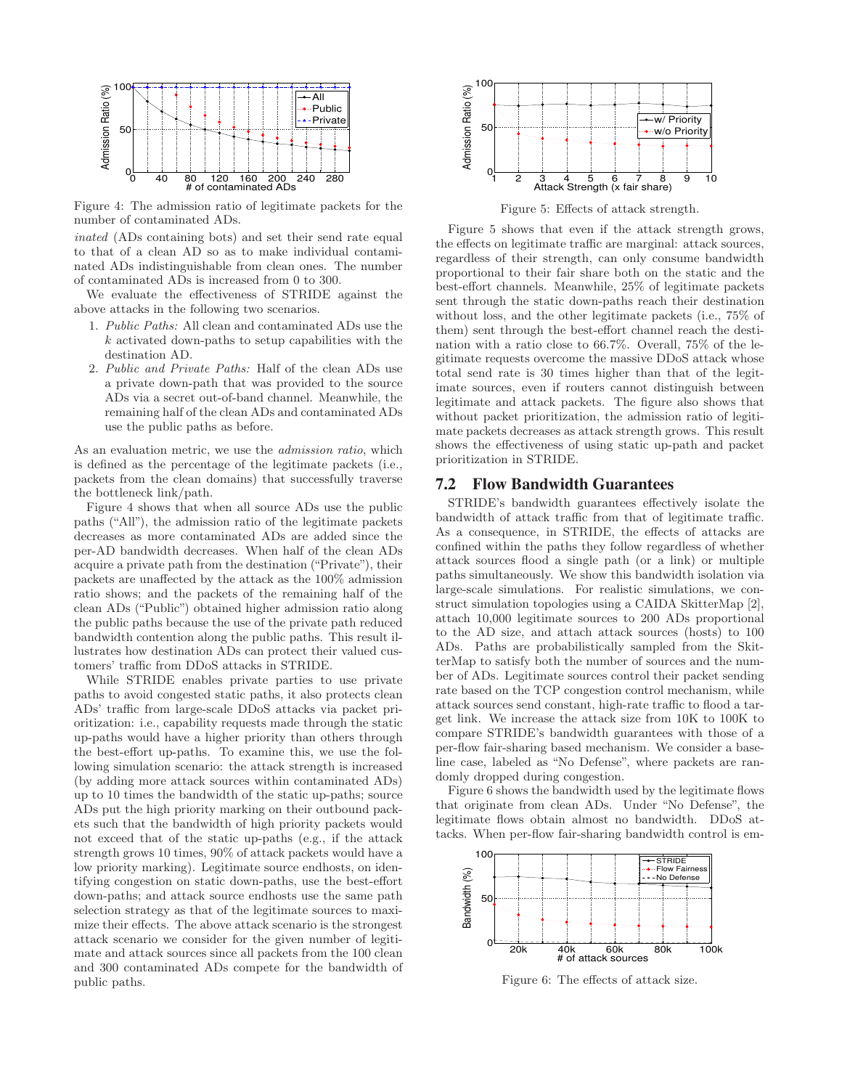

Figure 4: The admission ratio of legitimate packets for the number of contaminated ADs.

inated (ADs containing bots) and set their send rate equal to that of a clean AD so as to make individual contaminated ADs indistinguishable from clean ones. The number of contaminated ADs is increased from 0 to 300.

We evaluate the effectiveness of STRIDE against the above attacks in the following two scenarios.

- 1. Public Paths: All clean and contaminated ADs use the  $k$  activated down-paths to setup capabilities with the destination AD.
- 2. Public and Private Paths: Half of the clean ADs use a private down-path that was provided to the source ADs via a secret out-of-band channel. Meanwhile, the remaining half of the clean ADs and contaminated ADs use the public paths as before.

As an evaluation metric, we use the admission ratio, which is defined as the percentage of the legitimate packets (i.e., packets from the clean domains) that successfully traverse the bottleneck link/path.

Figure 4 shows that when all source ADs use the public paths ("All"), the admission ratio of the legitimate packets decreases as more contaminated ADs are added since the per-AD bandwidth decreases. When half of the clean ADs acquire a private path from the destination ("Private"), their packets are unaffected by the attack as the 100% admission ratio shows; and the packets of the remaining half of the clean ADs ("Public") obtained higher admission ratio along the public paths because the use of the private path reduced bandwidth contention along the public paths. This result illustrates how destination ADs can protect their valued customers' traffic from DDoS attacks in STRIDE.

While STRIDE enables private parties to use private paths to avoid congested static paths, it also protects clean ADs' traffic from large-scale DDoS attacks via packet prioritization: i.e., capability requests made through the static up-paths would have a higher priority than others through the best-effort up-paths. To examine this, we use the following simulation scenario: the attack strength is increased (by adding more attack sources within contaminated ADs) up to 10 times the bandwidth of the static up-paths; source ADs put the high priority marking on their outbound packets such that the bandwidth of high priority packets would not exceed that of the static up-paths (e.g., if the attack strength grows 10 times, 90% of attack packets would have a low priority marking). Legitimate source endhosts, on identifying congestion on static down-paths, use the best-effort down-paths; and attack source endhosts use the same path selection strategy as that of the legitimate sources to maximize their effects. The above attack scenario is the strongest attack scenario we consider for the given number of legitimate and attack sources since all packets from the 100 clean and 300 contaminated ADs compete for the bandwidth of public paths.



Figure 5: Effects of attack strength.

Figure 5 shows that even if the attack strength grows, the effects on legitimate traffic are marginal: attack sources, regardless of their strength, can only consume bandwidth proportional to their fair share both on the static and the best-effort channels. Meanwhile, 25% of legitimate packets sent through the static down-paths reach their destination without loss, and the other legitimate packets (i.e., 75% of them) sent through the best-effort channel reach the destination with a ratio close to 66.7%. Overall, 75% of the legitimate requests overcome the massive DDoS attack whose total send rate is 30 times higher than that of the legitimate sources, even if routers cannot distinguish between legitimate and attack packets. The figure also shows that without packet prioritization, the admission ratio of legitimate packets decreases as attack strength grows. This result shows the effectiveness of using static up-path and packet prioritization in STRIDE.

## **7.2 Flow Bandwidth Guarantees**

STRIDE's bandwidth guarantees effectively isolate the bandwidth of attack traffic from that of legitimate traffic. As a consequence, in STRIDE, the effects of attacks are confined within the paths they follow regardless of whether attack sources flood a single path (or a link) or multiple paths simultaneously. We show this bandwidth isolation via large-scale simulations. For realistic simulations, we construct simulation topologies using a CAIDA SkitterMap [2], attach 10,000 legitimate sources to 200 ADs proportional to the AD size, and attach attack sources (hosts) to 100 ADs. Paths are probabilistically sampled from the SkitterMap to satisfy both the number of sources and the number of ADs. Legitimate sources control their packet sending rate based on the TCP congestion control mechanism, while attack sources send constant, high-rate traffic to flood a target link. We increase the attack size from 10K to 100K to compare STRIDE's bandwidth guarantees with those of a per-flow fair-sharing based mechanism. We consider a baseline case, labeled as "No Defense", where packets are randomly dropped during congestion.

Figure 6 shows the bandwidth used by the legitimate flows that originate from clean ADs. Under "No Defense", the legitimate flows obtain almost no bandwidth. DDoS attacks. When per-flow fair-sharing bandwidth control is em-



Figure 6: The effects of attack size.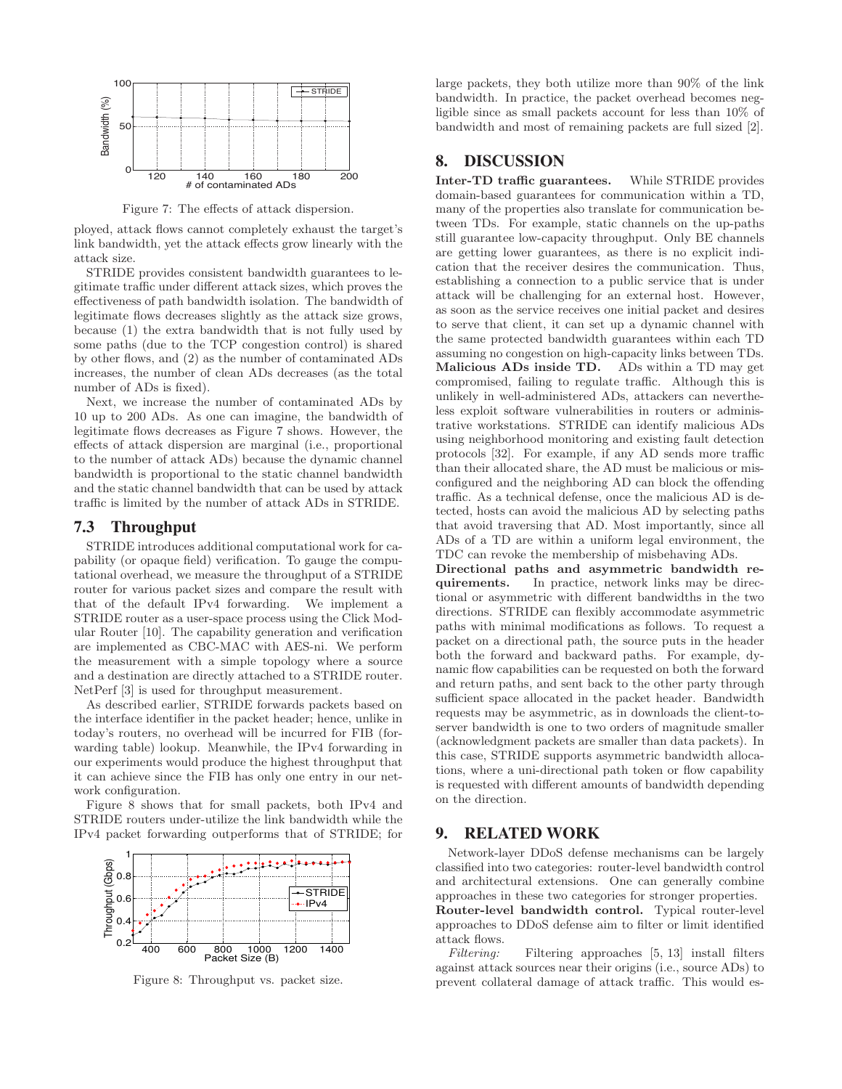

Figure 7: The effects of attack dispersion.

ployed, attack flows cannot completely exhaust the target's link bandwidth, yet the attack effects grow linearly with the attack size.

STRIDE provides consistent bandwidth guarantees to legitimate traffic under different attack sizes, which proves the effectiveness of path bandwidth isolation. The bandwidth of legitimate flows decreases slightly as the attack size grows, because (1) the extra bandwidth that is not fully used by some paths (due to the TCP congestion control) is shared by other flows, and (2) as the number of contaminated ADs increases, the number of clean ADs decreases (as the total number of ADs is fixed).

Next, we increase the number of contaminated ADs by 10 up to 200 ADs. As one can imagine, the bandwidth of legitimate flows decreases as Figure 7 shows. However, the effects of attack dispersion are marginal (i.e., proportional to the number of attack ADs) because the dynamic channel bandwidth is proportional to the static channel bandwidth and the static channel bandwidth that can be used by attack traffic is limited by the number of attack ADs in STRIDE.

#### **7.3 Throughput**

STRIDE introduces additional computational work for capability (or opaque field) verification. To gauge the computational overhead, we measure the throughput of a STRIDE router for various packet sizes and compare the result with that of the default IPv4 forwarding. We implement a STRIDE router as a user-space process using the Click Modular Router [10]. The capability generation and verification are implemented as CBC-MAC with AES-ni. We perform the measurement with a simple topology where a source and a destination are directly attached to a STRIDE router. NetPerf [3] is used for throughput measurement.

As described earlier, STRIDE forwards packets based on the interface identifier in the packet header; hence, unlike in today's routers, no overhead will be incurred for FIB (forwarding table) lookup. Meanwhile, the IPv4 forwarding in our experiments would produce the highest throughput that it can achieve since the FIB has only one entry in our network configuration.

Figure 8 shows that for small packets, both IPv4 and STRIDE routers under-utilize the link bandwidth while the IPv4 packet forwarding outperforms that of STRIDE; for



Figure 8: Throughput vs. packet size.

large packets, they both utilize more than 90% of the link bandwidth. In practice, the packet overhead becomes negligible since as small packets account for less than 10% of bandwidth and most of remaining packets are full sized [2].

# **8. DISCUSSION**

Inter-TD traffic guarantees. While STRIDE provides domain-based guarantees for communication within a TD, many of the properties also translate for communication between TDs. For example, static channels on the up-paths still guarantee low-capacity throughput. Only BE channels are getting lower guarantees, as there is no explicit indication that the receiver desires the communication. Thus, establishing a connection to a public service that is under attack will be challenging for an external host. However, as soon as the service receives one initial packet and desires to serve that client, it can set up a dynamic channel with the same protected bandwidth guarantees within each TD assuming no congestion on high-capacity links between TDs. Malicious ADs inside TD. ADs within a TD may get compromised, failing to regulate traffic. Although this is unlikely in well-administered ADs, attackers can nevertheless exploit software vulnerabilities in routers or administrative workstations. STRIDE can identify malicious ADs using neighborhood monitoring and existing fault detection protocols [32]. For example, if any AD sends more traffic than their allocated share, the AD must be malicious or misconfigured and the neighboring AD can block the offending traffic. As a technical defense, once the malicious AD is detected, hosts can avoid the malicious AD by selecting paths that avoid traversing that AD. Most importantly, since all ADs of a TD are within a uniform legal environment, the TDC can revoke the membership of misbehaving ADs.

Directional paths and asymmetric bandwidth requirements. In practice, network links may be directional or asymmetric with different bandwidths in the two directions. STRIDE can flexibly accommodate asymmetric paths with minimal modifications as follows. To request a packet on a directional path, the source puts in the header both the forward and backward paths. For example, dynamic flow capabilities can be requested on both the forward and return paths, and sent back to the other party through sufficient space allocated in the packet header. Bandwidth requests may be asymmetric, as in downloads the client-toserver bandwidth is one to two orders of magnitude smaller (acknowledgment packets are smaller than data packets). In this case, STRIDE supports asymmetric bandwidth allocations, where a uni-directional path token or flow capability is requested with different amounts of bandwidth depending on the direction.

## **9. RELATED WORK**

Network-layer DDoS defense mechanisms can be largely classified into two categories: router-level bandwidth control and architectural extensions. One can generally combine approaches in these two categories for stronger properties.

Router-level bandwidth control. Typical router-level approaches to DDoS defense aim to filter or limit identified attack flows.

Filtering: Filtering approaches [5, 13] install filters against attack sources near their origins (i.e., source ADs) to prevent collateral damage of attack traffic. This would es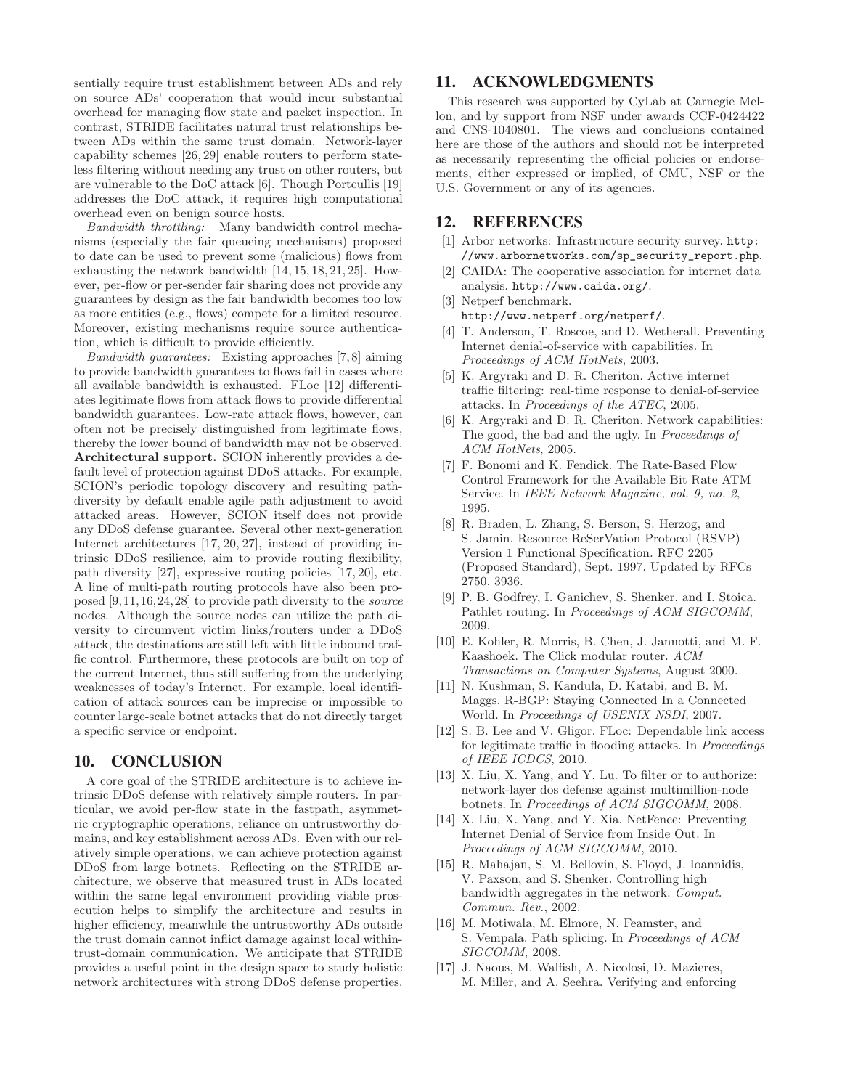sentially require trust establishment between ADs and rely on source ADs' cooperation that would incur substantial overhead for managing flow state and packet inspection. In contrast, STRIDE facilitates natural trust relationships between ADs within the same trust domain. Network-layer capability schemes [26, 29] enable routers to perform stateless filtering without needing any trust on other routers, but are vulnerable to the DoC attack [6]. Though Portcullis [19] addresses the DoC attack, it requires high computational overhead even on benign source hosts.

Bandwidth throttling: Many bandwidth control mechanisms (especially the fair queueing mechanisms) proposed to date can be used to prevent some (malicious) flows from exhausting the network bandwidth [14, 15, 18, 21, 25]. However, per-flow or per-sender fair sharing does not provide any guarantees by design as the fair bandwidth becomes too low as more entities (e.g., flows) compete for a limited resource. Moreover, existing mechanisms require source authentication, which is difficult to provide efficiently.

Bandwidth guarantees: Existing approaches [7, 8] aiming to provide bandwidth guarantees to flows fail in cases where all available bandwidth is exhausted. FLoc [12] differentiates legitimate flows from attack flows to provide differential bandwidth guarantees. Low-rate attack flows, however, can often not be precisely distinguished from legitimate flows, thereby the lower bound of bandwidth may not be observed. Architectural support. SCION inherently provides a default level of protection against DDoS attacks. For example, SCION's periodic topology discovery and resulting pathdiversity by default enable agile path adjustment to avoid attacked areas. However, SCION itself does not provide any DDoS defense guarantee. Several other next-generation Internet architectures [17, 20, 27], instead of providing intrinsic DDoS resilience, aim to provide routing flexibility, path diversity [27], expressive routing policies [17, 20], etc. A line of multi-path routing protocols have also been proposed [9,11,16,24,28] to provide path diversity to the source nodes. Although the source nodes can utilize the path diversity to circumvent victim links/routers under a DDoS attack, the destinations are still left with little inbound traffic control. Furthermore, these protocols are built on top of the current Internet, thus still suffering from the underlying weaknesses of today's Internet. For example, local identification of attack sources can be imprecise or impossible to counter large-scale botnet attacks that do not directly target a specific service or endpoint.

## **10. CONCLUSION**

A core goal of the STRIDE architecture is to achieve intrinsic DDoS defense with relatively simple routers. In particular, we avoid per-flow state in the fastpath, asymmetric cryptographic operations, reliance on untrustworthy domains, and key establishment across ADs. Even with our relatively simple operations, we can achieve protection against DDoS from large botnets. Reflecting on the STRIDE architecture, we observe that measured trust in ADs located within the same legal environment providing viable prosecution helps to simplify the architecture and results in higher efficiency, meanwhile the untrustworthy ADs outside the trust domain cannot inflict damage against local withintrust-domain communication. We anticipate that STRIDE provides a useful point in the design space to study holistic network architectures with strong DDoS defense properties.

## **11. ACKNOWLEDGMENTS**

This research was supported by CyLab at Carnegie Mellon, and by support from NSF under awards CCF-0424422 and CNS-1040801. The views and conclusions contained here are those of the authors and should not be interpreted as necessarily representing the official policies or endorsements, either expressed or implied, of CMU, NSF or the U.S. Government or any of its agencies.

## **12. REFERENCES**

- [1] Arbor networks: Infrastructure security survey. http: //www.arbornetworks.com/sp\_security\_report.php.
- [2] CAIDA: The cooperative association for internet data analysis. http://www.caida.org/.
- [3] Netperf benchmark. http://www.netperf.org/netperf/.
- [4] T. Anderson, T. Roscoe, and D. Wetherall. Preventing Internet denial-of-service with capabilities. In Proceedings of ACM HotNets, 2003.
- [5] K. Argyraki and D. R. Cheriton. Active internet traffic filtering: real-time response to denial-of-service attacks. In Proceedings of the ATEC, 2005.
- [6] K. Argyraki and D. R. Cheriton. Network capabilities: The good, the bad and the ugly. In Proceedings of ACM HotNets, 2005.
- [7] F. Bonomi and K. Fendick. The Rate-Based Flow Control Framework for the Available Bit Rate ATM Service. In IEEE Network Magazine, vol. 9, no. 2, 1995.
- [8] R. Braden, L. Zhang, S. Berson, S. Herzog, and S. Jamin. Resource ReSerVation Protocol (RSVP) – Version 1 Functional Specification. RFC 2205 (Proposed Standard), Sept. 1997. Updated by RFCs 2750, 3936.
- [9] P. B. Godfrey, I. Ganichev, S. Shenker, and I. Stoica. Pathlet routing. In Proceedings of ACM SIGCOMM, 2009.
- [10] E. Kohler, R. Morris, B. Chen, J. Jannotti, and M. F. Kaashoek. The Click modular router. ACM Transactions on Computer Systems, August 2000.
- [11] N. Kushman, S. Kandula, D. Katabi, and B. M. Maggs. R-BGP: Staying Connected In a Connected World. In Proceedings of USENIX NSDI, 2007.
- [12] S. B. Lee and V. Gligor. FLoc: Dependable link access for legitimate traffic in flooding attacks. In Proceedings of IEEE ICDCS, 2010.
- [13] X. Liu, X. Yang, and Y. Lu. To filter or to authorize: network-layer dos defense against multimillion-node botnets. In Proceedings of ACM SIGCOMM, 2008.
- [14] X. Liu, X. Yang, and Y. Xia. NetFence: Preventing Internet Denial of Service from Inside Out. In Proceedings of ACM SIGCOMM, 2010.
- [15] R. Mahajan, S. M. Bellovin, S. Floyd, J. Ioannidis, V. Paxson, and S. Shenker. Controlling high bandwidth aggregates in the network. Comput. Commun. Rev., 2002.
- [16] M. Motiwala, M. Elmore, N. Feamster, and S. Vempala. Path splicing. In Proceedings of ACM SIGCOMM, 2008.
- [17] J. Naous, M. Walfish, A. Nicolosi, D. Mazieres, M. Miller, and A. Seehra. Verifying and enforcing